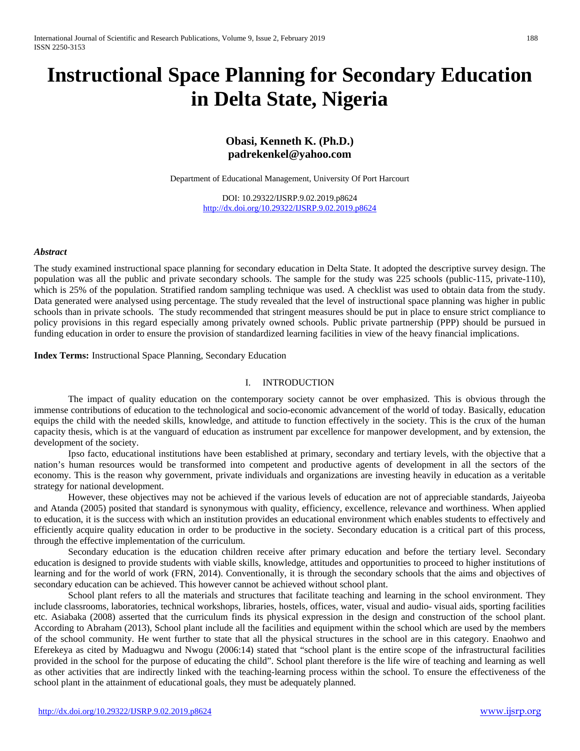# **Instructional Space Planning for Secondary Education in Delta State, Nigeria**

## **Obasi, Kenneth K. (Ph.D.) padrekenkel@yahoo.com**

Department of Educational Management, University Of Port Harcourt

DOI: 10.29322/IJSRP.9.02.2019.p8624 <http://dx.doi.org/10.29322/IJSRP.9.02.2019.p8624>

#### *Abstract*

The study examined instructional space planning for secondary education in Delta State. It adopted the descriptive survey design. The population was all the public and private secondary schools. The sample for the study was 225 schools (public-115, private-110), which is 25% of the population. Stratified random sampling technique was used. A checklist was used to obtain data from the study. Data generated were analysed using percentage. The study revealed that the level of instructional space planning was higher in public schools than in private schools. The study recommended that stringent measures should be put in place to ensure strict compliance to policy provisions in this regard especially among privately owned schools. Public private partnership (PPP) should be pursued in funding education in order to ensure the provision of standardized learning facilities in view of the heavy financial implications.

**Index Terms:** Instructional Space Planning, Secondary Education

## I. INTRODUCTION

The impact of quality education on the contemporary society cannot be over emphasized. This is obvious through the immense contributions of education to the technological and socio-economic advancement of the world of today. Basically, education equips the child with the needed skills, knowledge, and attitude to function effectively in the society. This is the crux of the human capacity thesis, which is at the vanguard of education as instrument par excellence for manpower development, and by extension, the development of the society.

Ipso facto, educational institutions have been established at primary, secondary and tertiary levels, with the objective that a nation's human resources would be transformed into competent and productive agents of development in all the sectors of the economy. This is the reason why government, private individuals and organizations are investing heavily in education as a veritable strategy for national development.

However, these objectives may not be achieved if the various levels of education are not of appreciable standards, Jaiyeoba and Atanda (2005) posited that standard is synonymous with quality, efficiency, excellence, relevance and worthiness. When applied to education, it is the success with which an institution provides an educational environment which enables students to effectively and efficiently acquire quality education in order to be productive in the society. Secondary education is a critical part of this process, through the effective implementation of the curriculum.

Secondary education is the education children receive after primary education and before the tertiary level. Secondary education is designed to provide students with viable skills, knowledge, attitudes and opportunities to proceed to higher institutions of learning and for the world of work (FRN, 2014). Conventionally, it is through the secondary schools that the aims and objectives of secondary education can be achieved. This however cannot be achieved without school plant.

School plant refers to all the materials and structures that facilitate teaching and learning in the school environment. They include classrooms, laboratories, technical workshops, libraries, hostels, offices, water, visual and audio- visual aids, sporting facilities etc. Asiabaka (2008) asserted that the curriculum finds its physical expression in the design and construction of the school plant. According to Abraham (2013), School plant include all the facilities and equipment within the school which are used by the members of the school community. He went further to state that all the physical structures in the school are in this category. Enaohwo and Eferekeya as cited by Maduagwu and Nwogu (2006:14) stated that "school plant is the entire scope of the infrastructural facilities provided in the school for the purpose of educating the child". School plant therefore is the life wire of teaching and learning as well as other activities that are indirectly linked with the teaching-learning process within the school. To ensure the effectiveness of the school plant in the attainment of educational goals, they must be adequately planned.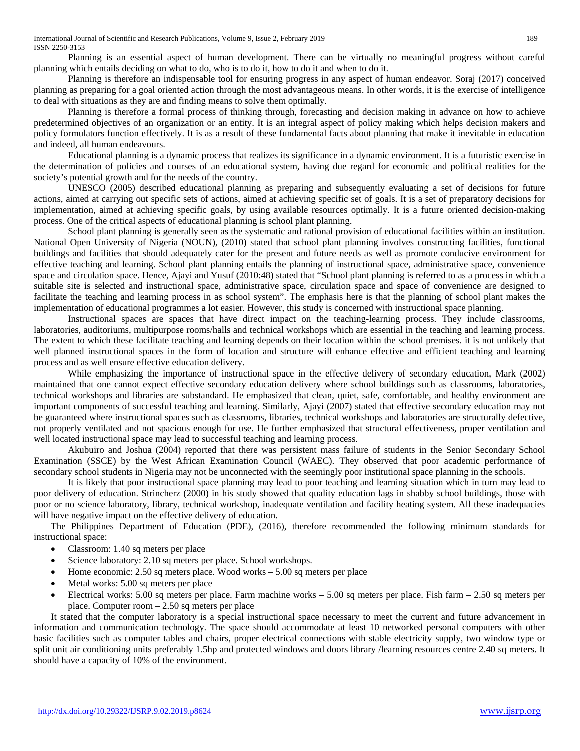Planning is an essential aspect of human development. There can be virtually no meaningful progress without careful planning which entails deciding on what to do, who is to do it, how to do it and when to do it.

Planning is therefore an indispensable tool for ensuring progress in any aspect of human endeavor. Soraj (2017) conceived planning as preparing for a goal oriented action through the most advantageous means. In other words, it is the exercise of intelligence to deal with situations as they are and finding means to solve them optimally.

Planning is therefore a formal process of thinking through, forecasting and decision making in advance on how to achieve predetermined objectives of an organization or an entity. It is an integral aspect of policy making which helps decision makers and policy formulators function effectively. It is as a result of these fundamental facts about planning that make it inevitable in education and indeed, all human endeavours.

Educational planning is a dynamic process that realizes its significance in a dynamic environment. It is a futuristic exercise in the determination of policies and courses of an educational system, having due regard for economic and political realities for the society's potential growth and for the needs of the country.

UNESCO (2005) described educational planning as preparing and subsequently evaluating a set of decisions for future actions, aimed at carrying out specific sets of actions, aimed at achieving specific set of goals. It is a set of preparatory decisions for implementation, aimed at achieving specific goals, by using available resources optimally. It is a future oriented decision-making process. One of the critical aspects of educational planning is school plant planning.

School plant planning is generally seen as the systematic and rational provision of educational facilities within an institution. National Open University of Nigeria (NOUN), (2010) stated that school plant planning involves constructing facilities, functional buildings and facilities that should adequately cater for the present and future needs as well as promote conducive environment for effective teaching and learning. School plant planning entails the planning of instructional space, administrative space, convenience space and circulation space. Hence, Ajayi and Yusuf (2010:48) stated that "School plant planning is referred to as a process in which a suitable site is selected and instructional space, administrative space, circulation space and space of convenience are designed to facilitate the teaching and learning process in as school system". The emphasis here is that the planning of school plant makes the implementation of educational programmes a lot easier. However, this study is concerned with instructional space planning.

Instructional spaces are spaces that have direct impact on the teaching-learning process. They include classrooms, laboratories, auditoriums, multipurpose rooms/halls and technical workshops which are essential in the teaching and learning process. The extent to which these facilitate teaching and learning depends on their location within the school premises. it is not unlikely that well planned instructional spaces in the form of location and structure will enhance effective and efficient teaching and learning process and as well ensure effective education delivery.

While emphasizing the importance of instructional space in the effective delivery of secondary education, Mark (2002) maintained that one cannot expect effective secondary education delivery where school buildings such as classrooms, laboratories, technical workshops and libraries are substandard. He emphasized that clean, quiet, safe, comfortable, and healthy environment are important components of successful teaching and learning. Similarly, Ajayi (2007) stated that effective secondary education may not be guaranteed where instructional spaces such as classrooms, libraries, technical workshops and laboratories are structurally defective, not properly ventilated and not spacious enough for use. He further emphasized that structural effectiveness, proper ventilation and well located instructional space may lead to successful teaching and learning process.

Akubuiro and Joshua (2004) reported that there was persistent mass failure of students in the Senior Secondary School Examination (SSCE) by the West African Examination Council (WAEC). They observed that poor academic performance of secondary school students in Nigeria may not be unconnected with the seemingly poor institutional space planning in the schools.

It is likely that poor instructional space planning may lead to poor teaching and learning situation which in turn may lead to poor delivery of education. Strincherz (2000) in his study showed that quality education lags in shabby school buildings, those with poor or no science laboratory, library, technical workshop, inadequate ventilation and facility heating system. All these inadequacies will have negative impact on the effective delivery of education.

The Philippines Department of Education (PDE), (2016), therefore recommended the following minimum standards for instructional space:

- Classroom: 1.40 sq meters per place
- Science laboratory: 2.10 sq meters per place. School workshops.
- Home economic: 2.50 sq meters place. Wood works 5.00 sq meters per place
- Metal works: 5.00 sq meters per place
- Electrical works: 5.00 sq meters per place. Farm machine works 5.00 sq meters per place. Fish farm 2.50 sq meters per place. Computer room – 2.50 sq meters per place

It stated that the computer laboratory is a special instructional space necessary to meet the current and future advancement in information and communication technology. The space should accommodate at least 10 networked personal computers with other basic facilities such as computer tables and chairs, proper electrical connections with stable electricity supply, two window type or split unit air conditioning units preferably 1.5hp and protected windows and doors library /learning resources centre 2.40 sq meters. It should have a capacity of 10% of the environment.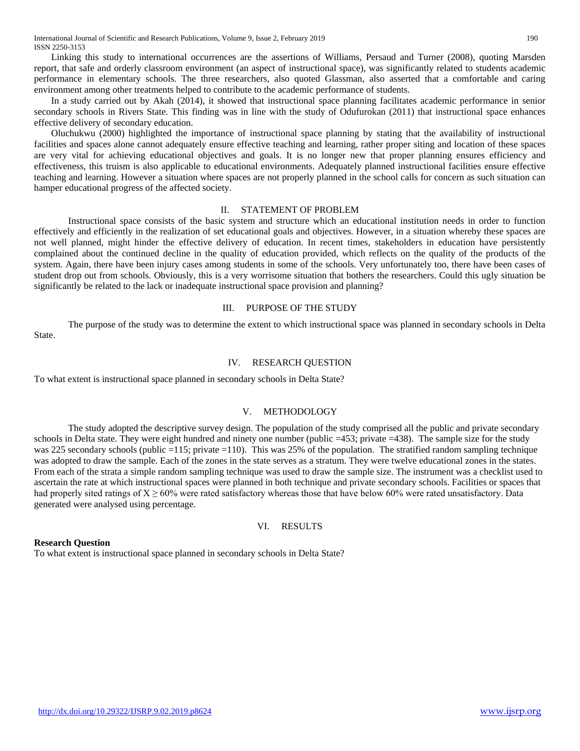Linking this study to international occurrences are the assertions of Williams, Persaud and Turner (2008), quoting Marsden report, that safe and orderly classroom environment (an aspect of instructional space), was significantly related to students academic performance in elementary schools. The three researchers, also quoted Glassman, also asserted that a comfortable and caring environment among other treatments helped to contribute to the academic performance of students.

In a study carried out by Akah (2014), it showed that instructional space planning facilitates academic performance in senior secondary schools in Rivers State. This finding was in line with the study of Odufurokan (2011) that instructional space enhances effective delivery of secondary education.

Oluchukwu (2000) highlighted the importance of instructional space planning by stating that the availability of instructional facilities and spaces alone cannot adequately ensure effective teaching and learning, rather proper siting and location of these spaces are very vital for achieving educational objectives and goals. It is no longer new that proper planning ensures efficiency and effectiveness, this truism is also applicable to educational environments. Adequately planned instructional facilities ensure effective teaching and learning. However a situation where spaces are not properly planned in the school calls for concern as such situation can hamper educational progress of the affected society.

## II. STATEMENT OF PROBLEM

Instructional space consists of the basic system and structure which an educational institution needs in order to function effectively and efficiently in the realization of set educational goals and objectives. However, in a situation whereby these spaces are not well planned, might hinder the effective delivery of education. In recent times, stakeholders in education have persistently complained about the continued decline in the quality of education provided, which reflects on the quality of the products of the system. Again, there have been injury cases among students in some of the schools. Very unfortunately too, there have been cases of student drop out from schools. Obviously, this is a very worrisome situation that bothers the researchers. Could this ugly situation be significantly be related to the lack or inadequate instructional space provision and planning?

## III. PURPOSE OF THE STUDY

The purpose of the study was to determine the extent to which instructional space was planned in secondary schools in Delta State.

#### IV. RESEARCH QUESTION

To what extent is instructional space planned in secondary schools in Delta State?

## V. METHODOLOGY

The study adopted the descriptive survey design. The population of the study comprised all the public and private secondary schools in Delta state. They were eight hundred and ninety one number (public =453; private =438). The sample size for the study was 225 secondary schools (public =115; private =110). This was 25% of the population. The stratified random sampling technique was adopted to draw the sample. Each of the zones in the state serves as a stratum. They were twelve educational zones in the states. From each of the strata a simple random sampling technique was used to draw the sample size. The instrument was a checklist used to ascertain the rate at which instructional spaces were planned in both technique and private secondary schools. Facilities or spaces that had properly sited ratings of  $X \ge 60\%$  were rated satisfactory whereas those that have below 60% were rated unsatisfactory. Data generated were analysed using percentage.

## VI. RESULTS

## **Research Question**

To what extent is instructional space planned in secondary schools in Delta State?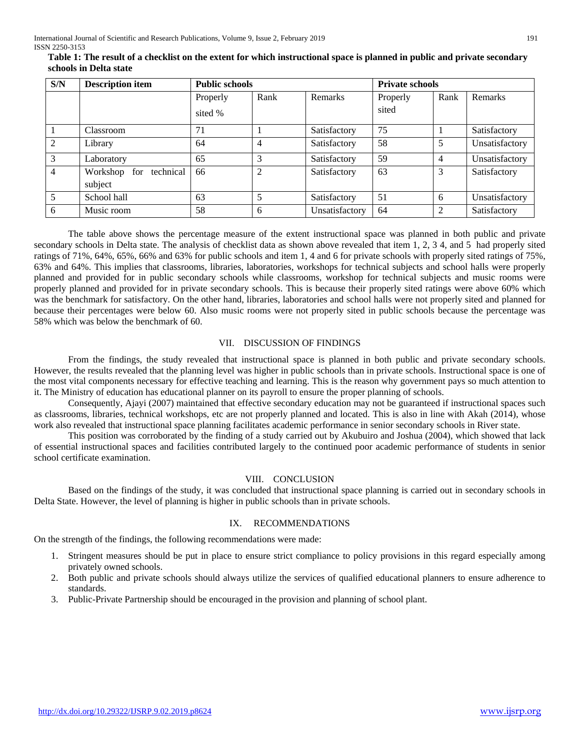| S/N            | <b>Description item</b>                 | <b>Public schools</b> |                |                | <b>Private schools</b> |                |                |
|----------------|-----------------------------------------|-----------------------|----------------|----------------|------------------------|----------------|----------------|
|                |                                         | Properly              | Rank           | Remarks        | Properly               | Rank           | Remarks        |
|                |                                         | sited %               |                |                | sited                  |                |                |
|                | Classroom                               | 71                    |                | Satisfactory   | 75                     |                | Satisfactory   |
| $\mathfrak{D}$ | Library                                 | 64                    | $\overline{4}$ | Satisfactory   | 58                     | 5              | Unsatisfactory |
| 3              | Laboratory                              | 65                    | 3              | Satisfactory   | 59                     | $\overline{4}$ | Unsatisfactory |
| $\overline{4}$ | technical<br>Workshop<br>for<br>subject | 66                    | 2              | Satisfactory   | 63                     | 3              | Satisfactory   |
| 5              | School hall                             | 63                    | 5              | Satisfactory   | 51                     | 6              | Unsatisfactory |
| 6              | Music room                              | 58                    | 6              | Unsatisfactory | 64                     | $\overline{2}$ | Satisfactory   |

 **Table 1: The result of a checklist on the extent for which instructional space is planned in public and private secondary schools in Delta state**

The table above shows the percentage measure of the extent instructional space was planned in both public and private secondary schools in Delta state. The analysis of checklist data as shown above revealed that item 1, 2, 3 4, and 5 had properly sited ratings of 71%, 64%, 65%, 66% and 63% for public schools and item 1, 4 and 6 for private schools with properly sited ratings of 75%, 63% and 64%. This implies that classrooms, libraries, laboratories, workshops for technical subjects and school halls were properly planned and provided for in public secondary schools while classrooms, workshop for technical subjects and music rooms were properly planned and provided for in private secondary schools. This is because their properly sited ratings were above 60% which was the benchmark for satisfactory. On the other hand, libraries, laboratories and school halls were not properly sited and planned for because their percentages were below 60. Also music rooms were not properly sited in public schools because the percentage was 58% which was below the benchmark of 60.

## VII. DISCUSSION OF FINDINGS

From the findings, the study revealed that instructional space is planned in both public and private secondary schools. However, the results revealed that the planning level was higher in public schools than in private schools. Instructional space is one of the most vital components necessary for effective teaching and learning. This is the reason why government pays so much attention to it. The Ministry of education has educational planner on its payroll to ensure the proper planning of schools.

Consequently, Ajayi (2007) maintained that effective secondary education may not be guaranteed if instructional spaces such as classrooms, libraries, technical workshops, etc are not properly planned and located. This is also in line with Akah (2014), whose work also revealed that instructional space planning facilitates academic performance in senior secondary schools in River state.

This position was corroborated by the finding of a study carried out by Akubuiro and Joshua (2004), which showed that lack of essential instructional spaces and facilities contributed largely to the continued poor academic performance of students in senior school certificate examination.

## VIII. CONCLUSION

Based on the findings of the study, it was concluded that instructional space planning is carried out in secondary schools in Delta State. However, the level of planning is higher in public schools than in private schools.

#### IX. RECOMMENDATIONS

On the strength of the findings, the following recommendations were made:

- 1. Stringent measures should be put in place to ensure strict compliance to policy provisions in this regard especially among privately owned schools.
- 2. Both public and private schools should always utilize the services of qualified educational planners to ensure adherence to standards.
- 3. Public-Private Partnership should be encouraged in the provision and planning of school plant.